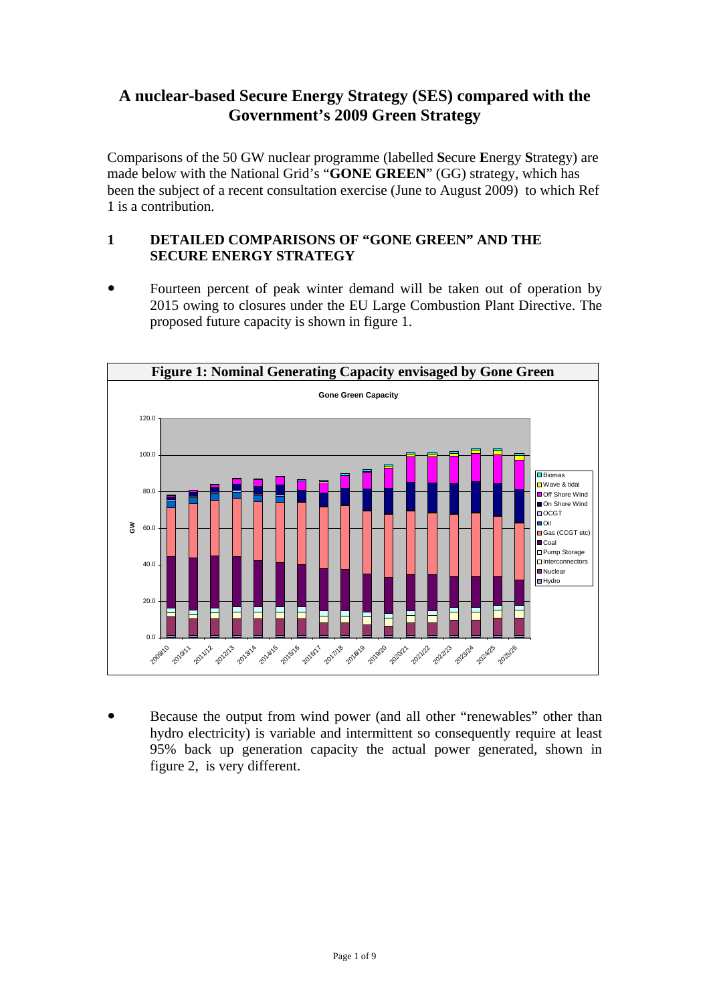## **A nuclear-based Secure Energy Strategy (SES) compared with the Government's 2009 Green Strategy**

Comparisons of the 50 GW nuclear programme (labelled **S**ecure **E**nergy **S**trategy) are made below with the National Grid's "**GONE GREEN**" (GG) strategy, which has been the subject of a recent consultation exercise (June to August 2009) to which Ref 1 is a contribution.

## **1 DETAILED COMPARISONS OF "GONE GREEN" AND THE SECURE ENERGY STRATEGY**

Fourteen percent of peak winter demand will be taken out of operation by 2015 owing to closures under the EU Large Combustion Plant Directive. The proposed future capacity is shown in figure 1.



Because the output from wind power (and all other "renewables" other than hydro electricity) is variable and intermittent so consequently require at least 95% back up generation capacity the actual power generated, shown in figure 2, is very different.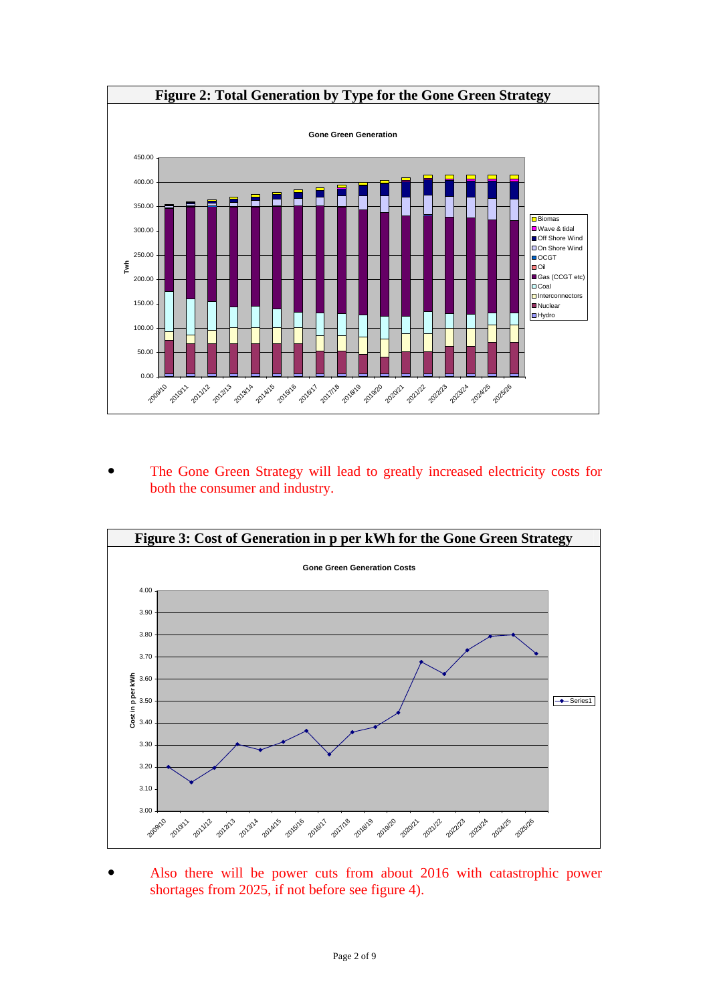

The Gone Green Strategy will lead to greatly increased electricity costs for both the consumer and industry.



Also there will be power cuts from about 2016 with catastrophic power shortages from 2025, if not before see figure 4).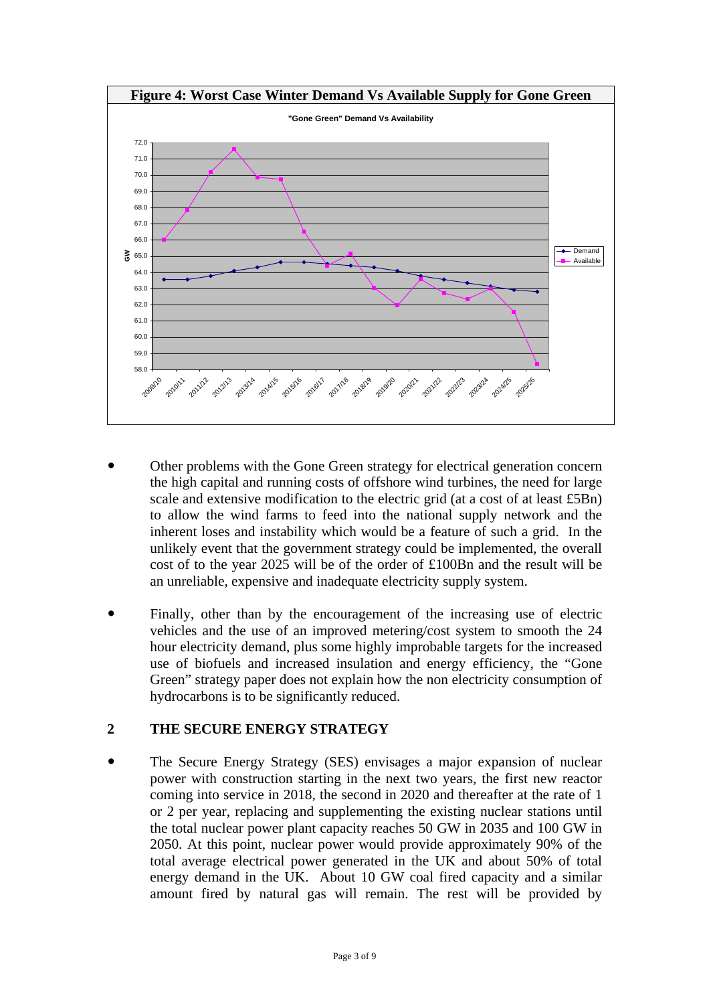

- Other problems with the Gone Green strategy for electrical generation concern the high capital and running costs of offshore wind turbines, the need for large scale and extensive modification to the electric grid (at a cost of at least £5Bn) to allow the wind farms to feed into the national supply network and the inherent loses and instability which would be a feature of such a grid. In the unlikely event that the government strategy could be implemented, the overall cost of to the year 2025 will be of the order of £100Bn and the result will be an unreliable, expensive and inadequate electricity supply system.
- Finally, other than by the encouragement of the increasing use of electric vehicles and the use of an improved metering/cost system to smooth the 24 hour electricity demand, plus some highly improbable targets for the increased use of biofuels and increased insulation and energy efficiency, the "Gone Green" strategy paper does not explain how the non electricity consumption of hydrocarbons is to be significantly reduced.

## **2 THE SECURE ENERGY STRATEGY**

• The Secure Energy Strategy (SES) envisages a major expansion of nuclear power with construction starting in the next two years, the first new reactor coming into service in 2018, the second in 2020 and thereafter at the rate of 1 or 2 per year, replacing and supplementing the existing nuclear stations until the total nuclear power plant capacity reaches 50 GW in 2035 and 100 GW in 2050. At this point, nuclear power would provide approximately 90% of the total average electrical power generated in the UK and about 50% of total energy demand in the UK. About 10 GW coal fired capacity and a similar amount fired by natural gas will remain. The rest will be provided by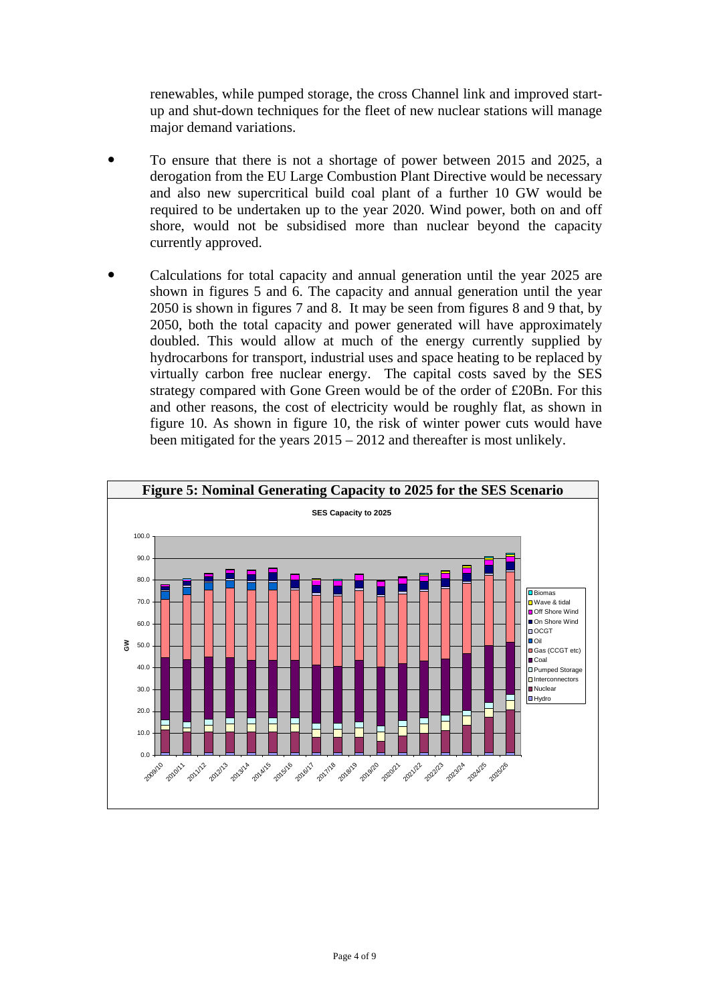renewables, while pumped storage, the cross Channel link and improved startup and shut-down techniques for the fleet of new nuclear stations will manage major demand variations.

- To ensure that there is not a shortage of power between 2015 and 2025, a derogation from the EU Large Combustion Plant Directive would be necessary and also new supercritical build coal plant of a further 10 GW would be required to be undertaken up to the year 2020. Wind power, both on and off shore, would not be subsidised more than nuclear beyond the capacity currently approved.
- Calculations for total capacity and annual generation until the year 2025 are shown in figures 5 and 6. The capacity and annual generation until the year 2050 is shown in figures 7 and 8. It may be seen from figures 8 and 9 that, by 2050, both the total capacity and power generated will have approximately doubled. This would allow at much of the energy currently supplied by hydrocarbons for transport, industrial uses and space heating to be replaced by virtually carbon free nuclear energy. The capital costs saved by the SES strategy compared with Gone Green would be of the order of £20Bn. For this and other reasons, the cost of electricity would be roughly flat, as shown in figure 10. As shown in figure 10, the risk of winter power cuts would have been mitigated for the years 2015 – 2012 and thereafter is most unlikely.

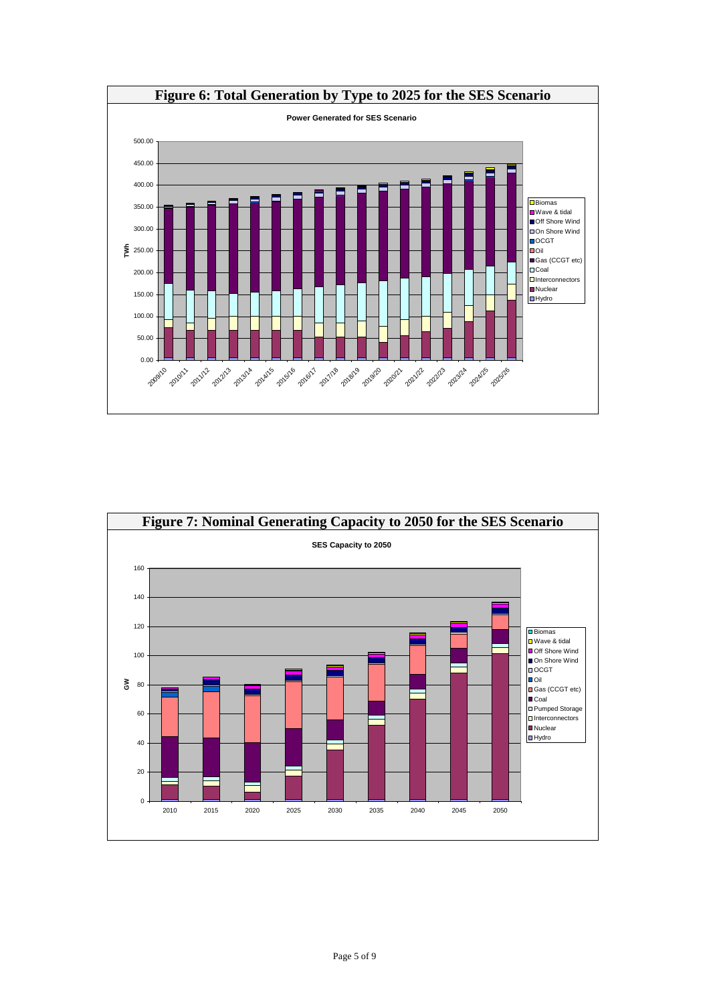

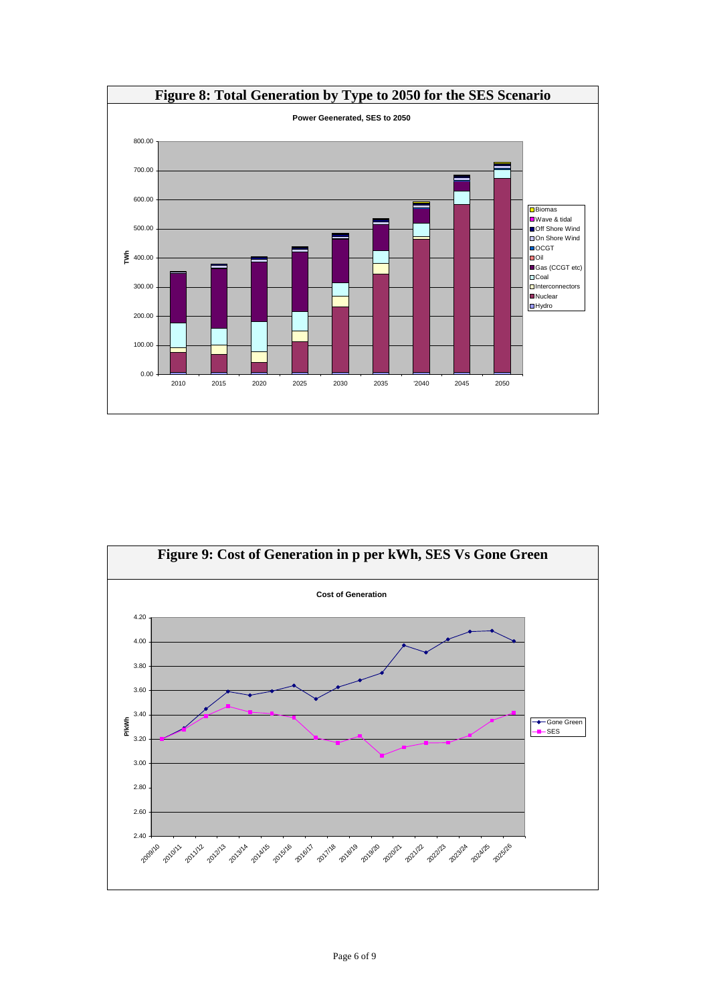

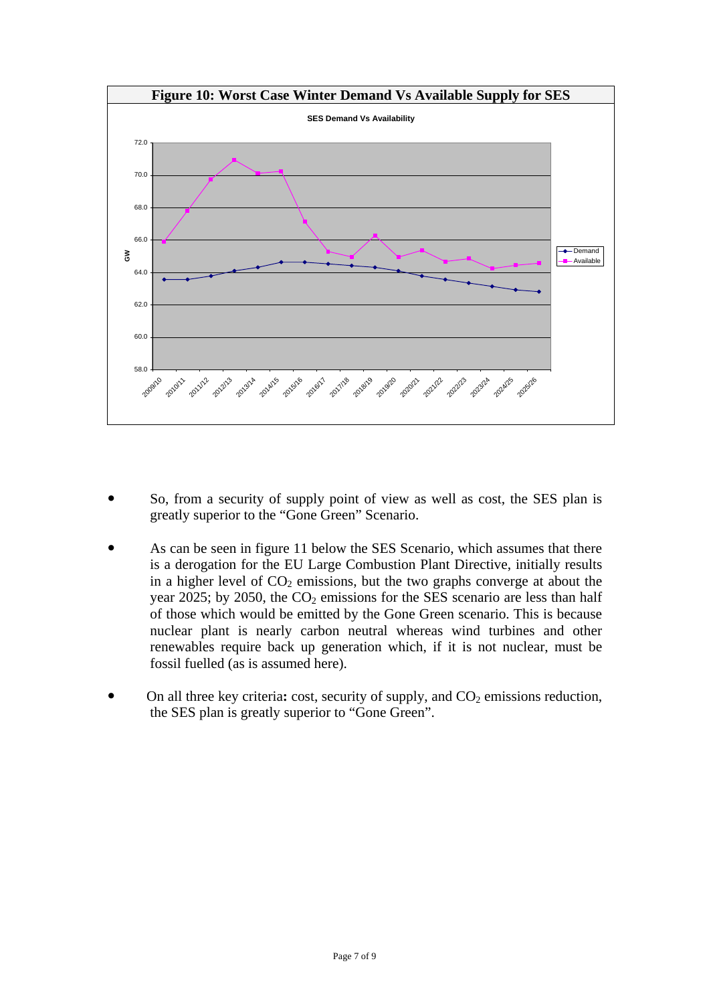

- So, from a security of supply point of view as well as cost, the SES plan is greatly superior to the "Gone Green" Scenario.
- As can be seen in figure 11 below the SES Scenario, which assumes that there is a derogation for the EU Large Combustion Plant Directive, initially results in a higher level of  $CO<sub>2</sub>$  emissions, but the two graphs converge at about the year 2025; by 2050, the  $CO<sub>2</sub>$  emissions for the SES scenario are less than half of those which would be emitted by the Gone Green scenario. This is because nuclear plant is nearly carbon neutral whereas wind turbines and other renewables require back up generation which, if it is not nuclear, must be fossil fuelled (as is assumed here).
- On all three key criteria: cost, security of supply, and CO<sub>2</sub> emissions reduction, the SES plan is greatly superior to "Gone Green".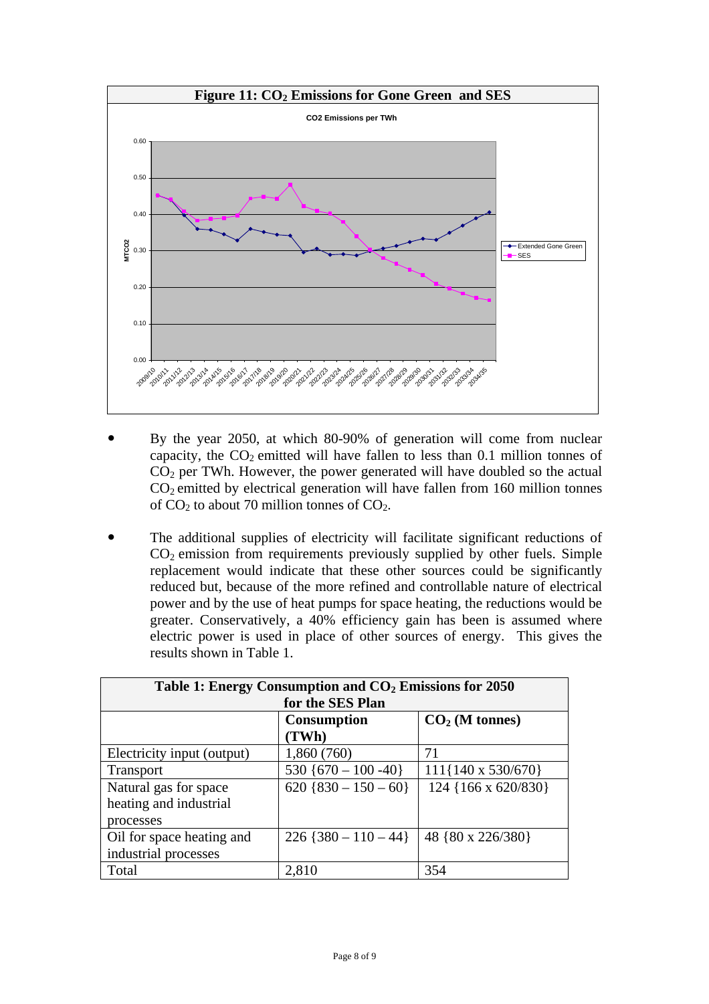

- By the year 2050, at which 80-90% of generation will come from nuclear capacity, the  $CO<sub>2</sub>$  emitted will have fallen to less than 0.1 million tonnes of  $CO<sub>2</sub>$  per TWh. However, the power generated will have doubled so the actual  $CO<sub>2</sub>$  emitted by electrical generation will have fallen from 160 million tonnes of  $CO<sub>2</sub>$  to about 70 million tonnes of  $CO<sub>2</sub>$ .
- The additional supplies of electricity will facilitate significant reductions of  $CO<sub>2</sub>$  emission from requirements previously supplied by other fuels. Simple replacement would indicate that these other sources could be significantly reduced but, because of the more refined and controllable nature of electrical power and by the use of heat pumps for space heating, the reductions would be greater. Conservatively, a 40% efficiency gain has been is assumed where electric power is used in place of other sources of energy. This gives the results shown in Table 1.

| Table 1: Energy Consumption and $CO2$ Emissions for 2050 |                        |                             |
|----------------------------------------------------------|------------------------|-----------------------------|
| for the SES Plan                                         |                        |                             |
|                                                          | <b>Consumption</b>     | $CO2$ (M tonnes)            |
|                                                          | (TWh)                  |                             |
| Electricity input (output)                               | 1,860 (760)            | 71                          |
| <b>Transport</b>                                         | 530 {670 - 100 - 40}   | $111\{140 \times 530/670\}$ |
| Natural gas for space                                    | $620$ {830 - 150 - 60} | 124 {166 x 620/830}         |
| heating and industrial                                   |                        |                             |
| processes                                                |                        |                             |
| Oil for space heating and                                | $226$ {380 - 110 - 44} | 48 {80 x 226/380}           |
| industrial processes                                     |                        |                             |
| Total                                                    | 2,810                  | 354                         |